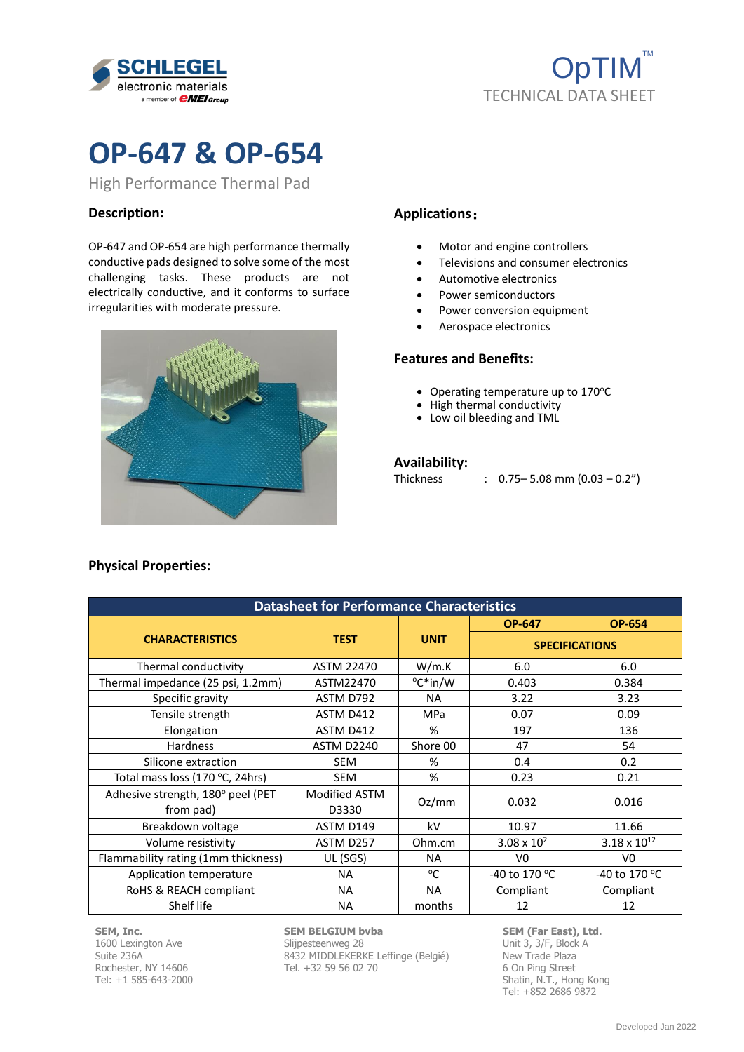



# **OP-647 & OP-654**

High Performance Thermal Pad

### **Description:**

OP-647 and OP-654 are high performance thermally conductive pads designed to solve some of the most challenging tasks. These products are not electrically conductive, and it conforms to surface irregularities with moderate pressure.



## **Applications**:

- Motor and engine controllers
- Televisions and consumer electronics
- Automotive electronics
- Power semiconductors
- Power conversion equipment
- Aerospace electronics

### **Features and Benefits:**

- Operating temperature up to  $170^{\circ}$ C
- High thermal conductivity
- Low oil bleeding and TML

### **Availability:**

| <b>Thickness</b> | $\therefore$ 0.75-5.08 mm (0.03 - 0.2") |
|------------------|-----------------------------------------|
|------------------|-----------------------------------------|

| <b>Datasheet for Performance Characteristics</b> |                               |             |                       |                         |  |  |  |
|--------------------------------------------------|-------------------------------|-------------|-----------------------|-------------------------|--|--|--|
|                                                  |                               |             | <b>OP-647</b>         | <b>OP-654</b>           |  |  |  |
| <b>CHARACTERISTICS</b>                           | <b>TEST</b>                   | <b>UNIT</b> | <b>SPECIFICATIONS</b> |                         |  |  |  |
| Thermal conductivity                             | <b>ASTM 22470</b>             | W/m.K       | 6.0                   | 6.0                     |  |  |  |
| Thermal impedance (25 psi, 1.2mm)                | ASTM22470                     | °C*in/W     | 0.403                 | 0.384                   |  |  |  |
| Specific gravity                                 | ASTM D792                     | NA.         | 3.22                  | 3.23                    |  |  |  |
| Tensile strength                                 | ASTM D412                     | <b>MPa</b>  | 0.07                  | 0.09                    |  |  |  |
| Elongation                                       | ASTM D412                     | %           | 197                   | 136                     |  |  |  |
| Hardness                                         | <b>ASTM D2240</b>             | Shore 00    | 47                    | 54                      |  |  |  |
| Silicone extraction                              | <b>SEM</b>                    | %           | 0.4                   | 0.2                     |  |  |  |
| Total mass loss (170 °C, 24hrs)                  | <b>SEM</b>                    | %           | 0.23                  | 0.21                    |  |  |  |
| Adhesive strength, 180° peel (PET<br>from pad)   | <b>Modified ASTM</b><br>D3330 | Oz/mm       | 0.032                 | 0.016                   |  |  |  |
| Breakdown voltage                                | ASTM D149                     | kV          | 10.97                 | 11.66                   |  |  |  |
| Volume resistivity                               | ASTM D257                     | Ohm.cm      | $3.08 \times 10^{2}$  | $3.18 \times 10^{12}$   |  |  |  |
| Flammability rating (1mm thickness)              | UL (SGS)                      | NA.         | V <sub>0</sub>        | V0                      |  |  |  |
| Application temperature                          | NA.                           | $^{\circ}C$ | -40 to 170 °C         | -40 to 170 $^{\circ}$ C |  |  |  |
| RoHS & REACH compliant                           | NA.                           | <b>NA</b>   | Compliant             | Compliant               |  |  |  |
| Shelf life                                       | NA.                           | months      | 12                    | 12                      |  |  |  |

**Physical Properties:**

**SEM, Inc.** 1600 Lexington Ave Suite 236A Rochester, NY 14606 Tel: +1 585-643-2000

### **SEM BELGIUM bvba**

Slijpesteenweg 28 8432 MIDDLEKERKE Leffinge (Belgié) Tel. +32 59 56 02 70

**SEM (Far East), Ltd.** Unit 3, 3/F, Block A New Trade Plaza 6 On Ping Street Shatin, N.T., Hong Kong Tel: +852 2686 9872

# Developed Jan 2022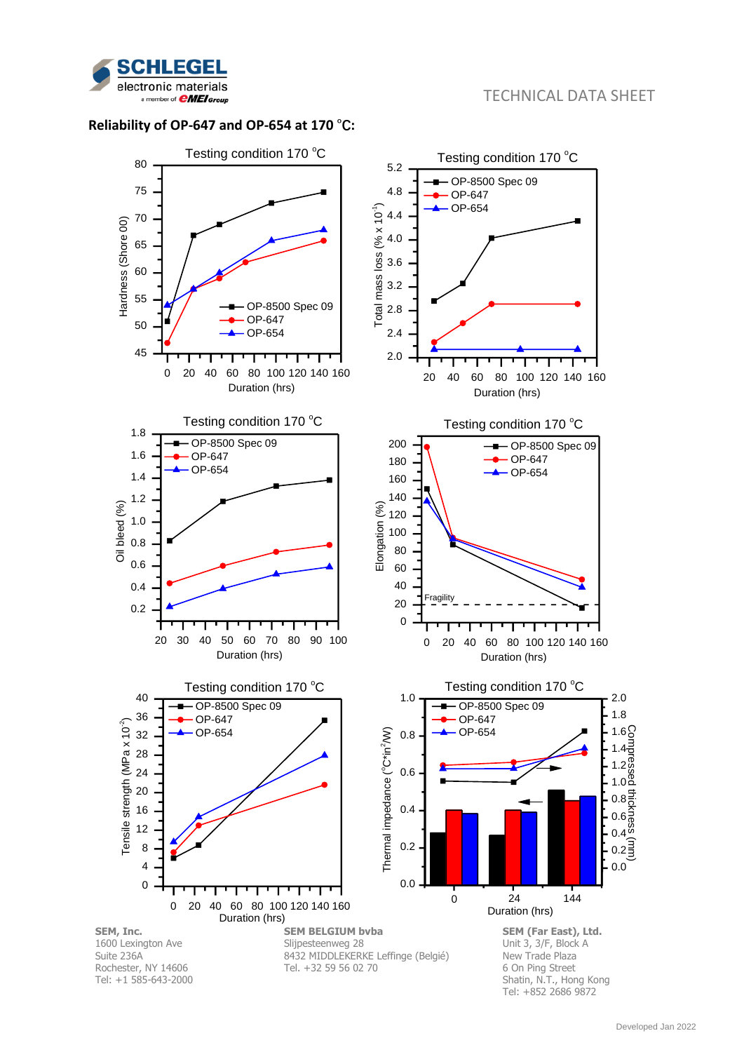

# TECHNICAL DATA SHEET

## Reliability of OP-647 and OP-654 at 170 °C: